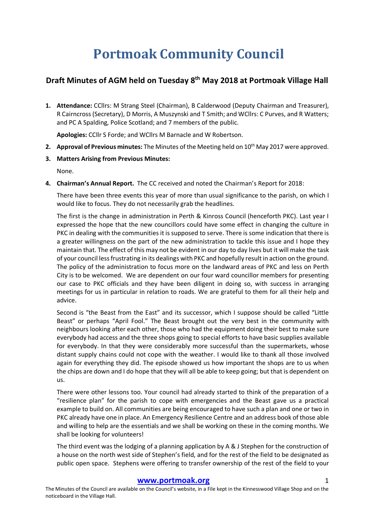# **Portmoak Community Council**

# **Draft Minutes of AGM held on Tuesday 8th May 2018 at Portmoak Village Hall**

**1. Attendance:** CCllrs: M Strang Steel (Chairman), B Calderwood (Deputy Chairman and Treasurer), R Cairncross (Secretary), D Morris, A Muszynski and T Smith; and WCllrs: C Purves, and R Watters; and PC A Spalding, Police Scotland; and 7 members of the public.

**Apologies:** CCllr S Forde; and WCllrs M Barnacle and W Robertson.

- **2. Approval of Previous minutes:** The Minutes of the Meeting held on 10<sup>th</sup> May 2017 were approved.
- **3. Matters Arising from Previous Minutes:**

None.

**4. Chairman's Annual Report.** The CC received and noted the Chairman's Report for 2018:

There have been three events this year of more than usual significance to the parish, on which I would like to focus. They do not necessarily grab the headlines.

The first is the change in administration in Perth & Kinross Council (henceforth PKC). Last year I expressed the hope that the new councillors could have some effect in changing the culture in PKC in dealing with the communities it is supposed to serve. There is some indication that there is a greater willingness on the part of the new administration to tackle this issue and I hope they maintain that. The effect of this may not be evident in our day to day lives but it will make the task of your council less frustrating in its dealings with PKC and hopefully result in action on the ground. The policy of the administration to focus more on the landward areas of PKC and less on Perth City is to be welcomed. We are dependent on our four ward councillor members for presenting our case to PKC officials and they have been diligent in doing so, with success in arranging meetings for us in particular in relation to roads. We are grateful to them for all their help and advice.

Second is "the Beast from the East" and its successor, which I suppose should be called "Little Beast" or perhaps "April Fool." The Beast brought out the very best in the community with neighbours looking after each other, those who had the equipment doing their best to make sure everybody had access and the three shops going to special efforts to have basic supplies available for everybody. In that they were considerably more successful than the supermarkets, whose distant supply chains could not cope with the weather. I would like to thank all those involved again for everything they did. The episode showed us how important the shops are to us when the chips are down and I do hope that they will all be able to keep going; but that is dependent on us.

There were other lessons too. Your council had already started to think of the preparation of a "resilience plan" for the parish to cope with emergencies and the Beast gave us a practical example to build on. All communities are being encouraged to have such a plan and one or two in PKC already have one in place. An Emergency Resilience Centre and an address book of those able and willing to help are the essentials and we shall be working on these in the coming months. We shall be looking for volunteers!

The third event was the lodging of a planning application by A & J Stephen for the construction of a house on the north west side of Stephen's field, and for the rest of the field to be designated as public open space. Stephens were offering to transfer ownership of the rest of the field to your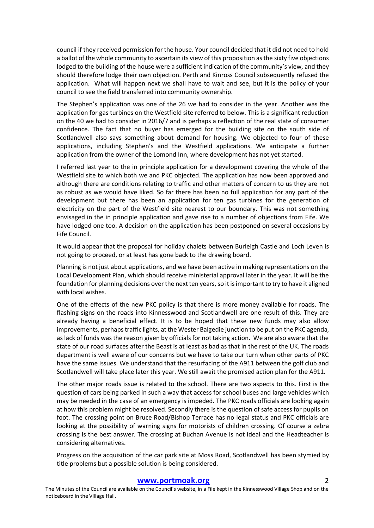council if they received permission for the house. Your council decided that it did not need to hold a ballot of the whole community to ascertain its view of this proposition as the sixty five objections lodged to the building of the house were a sufficient indication of the community's view, and they should therefore lodge their own objection. Perth and Kinross Council subsequently refused the application. What will happen next we shall have to wait and see, but it is the policy of your council to see the field transferred into community ownership.

The Stephen's application was one of the 26 we had to consider in the year. Another was the application for gas turbines on the Westfield site referred to below. This is a significant reduction on the 40 we had to consider in 2016/7 and is perhaps a reflection of the real state of consumer confidence. The fact that no buyer has emerged for the building site on the south side of Scotlandwell also says something about demand for housing. We objected to four of these applications, including Stephen's and the Westfield applications. We anticipate a further application from the owner of the Lomond Inn, where development has not yet started.

I referred last year to the in principle application for a development covering the whole of the Westfield site to which both we and PKC objected. The application has now been approved and although there are conditions relating to traffic and other matters of concern to us they are not as robust as we would have liked. So far there has been no full application for any part of the development but there has been an application for ten gas turbines for the generation of electricity on the part of the Westfield site nearest to our boundary. This was not something envisaged in the in principle application and gave rise to a number of objections from Fife. We have lodged one too. A decision on the application has been postponed on several occasions by Fife Council.

It would appear that the proposal for holiday chalets between Burleigh Castle and Loch Leven is not going to proceed, or at least has gone back to the drawing board.

Planning is not just about applications, and we have been active in making representations on the Local Development Plan, which should receive ministerial approval later in the year. It will be the foundation for planning decisions over the next ten years, so it is important to try to have it aligned with local wishes.

One of the effects of the new PKC policy is that there is more money available for roads. The flashing signs on the roads into Kinnesswood and Scotlandwell are one result of this. They are already having a beneficial effect. It is to be hoped that these new funds may also allow improvements, perhaps traffic lights, at the Wester Balgedie junction to be put on the PKC agenda, as lack of funds was the reason given by officials for not taking action. We are also aware that the state of our road surfaces after the Beast is at least as bad as that in the rest of the UK. The roads department is well aware of our concerns but we have to take our turn when other parts of PKC have the same issues. We understand that the resurfacing of the A911 between the golf club and Scotlandwell will take place later this year. We still await the promised action plan for the A911.

The other major roads issue is related to the school. There are two aspects to this. First is the question of cars being parked in such a way that access for school buses and large vehicles which may be needed in the case of an emergency is impeded. The PKC roads officials are looking again at how this problem might be resolved. Secondly there is the question of safe access for pupils on foot. The crossing point on Bruce Road/Bishop Terrace has no legal status and PKC officials are looking at the possibility of warning signs for motorists of children crossing. Of course a zebra crossing is the best answer. The crossing at Buchan Avenue is not ideal and the Headteacher is considering alternatives.

Progress on the acquisition of the car park site at Moss Road, Scotlandwell has been stymied by title problems but a possible solution is being considered.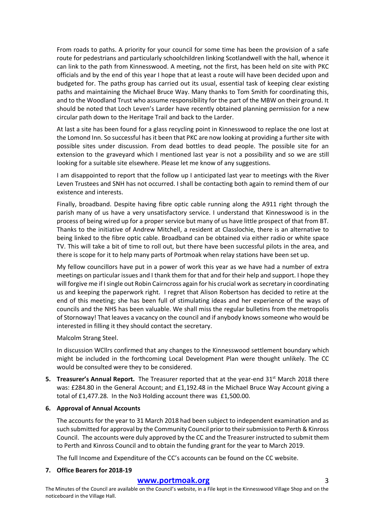From roads to paths. A priority for your council for some time has been the provision of a safe route for pedestrians and particularly schoolchildren linking Scotlandwell with the hall, whence it can link to the path from Kinnesswood. A meeting, not the first, has been held on site with PKC officials and by the end of this year I hope that at least a route will have been decided upon and budgeted for. The paths group has carried out its usual, essential task of keeping clear existing paths and maintaining the Michael Bruce Way. Many thanks to Tom Smith for coordinating this, and to the Woodland Trust who assume responsibility for the part of the MBW on their ground. It should be noted that Loch Leven's Larder have recently obtained planning permission for a new circular path down to the Heritage Trail and back to the Larder.

At last a site has been found for a glass recycling point in Kinnesswood to replace the one lost at the Lomond Inn. So successful has it been that PKC are now looking at providing a further site with possible sites under discussion. From dead bottles to dead people. The possible site for an extension to the graveyard which I mentioned last year is not a possibility and so we are still looking for a suitable site elsewhere. Please let me know of any suggestions.

I am disappointed to report that the follow up I anticipated last year to meetings with the River Leven Trustees and SNH has not occurred. I shall be contacting both again to remind them of our existence and interests.

Finally, broadband. Despite having fibre optic cable running along the A911 right through the parish many of us have a very unsatisfactory service. I understand that Kinnesswood is in the process of being wired up for a proper service but many of us have little prospect of that from BT. Thanks to the initiative of Andrew Mitchell, a resident at Classlochie, there is an alternative to being linked to the fibre optic cable. Broadband can be obtained via either radio or white space TV. This will take a bit of time to roll out, but there have been successful pilots in the area, and there is scope for it to help many parts of Portmoak when relay stations have been set up.

My fellow councillors have put in a power of work this year as we have had a number of extra meetings on particular issues and I thank them for that and for their help and support. I hope they will forgive me if I single out Robin Cairncross again for his crucial work as secretary in coordinating us and keeping the paperwork right. I regret that Alison Robertson has decided to retire at the end of this meeting; she has been full of stimulating ideas and her experience of the ways of councils and the NHS has been valuable. We shall miss the regular bulletins from the metropolis of Stornoway! That leaves a vacancy on the council and if anybody knows someone who would be interested in filling it they should contact the secretary.

Malcolm Strang Steel.

In discussion WCllrs confirmed that any changes to the Kinnesswood settlement boundary which might be included in the forthcoming Local Development Plan were thought unlikely. The CC would be consulted were they to be considered.

**5. Treasurer's Annual Report.** The Treasurer reported that at the year-end 31<sup>st</sup> March 2018 there was: £284.80 in the General Account; and £1,192.48 in the Michael Bruce Way Account giving a total of £1,477.28. In the No3 Holding account there was £1,500.00.

## **6. Approval of Annual Accounts**

The accounts for the year to 31 March 2018 had been subject to independent examination and as such submitted for approval by the Community Council prior to their submission to Perth & Kinross Council. The accounts were duly approved by the CC and the Treasurer instructed to submit them to Perth and Kinross Council and to obtain the funding grant for the year to March 2019.

The full Income and Expenditure of the CC's accounts can be found on the CC website.

### **7. Office Bearers for 2018-19**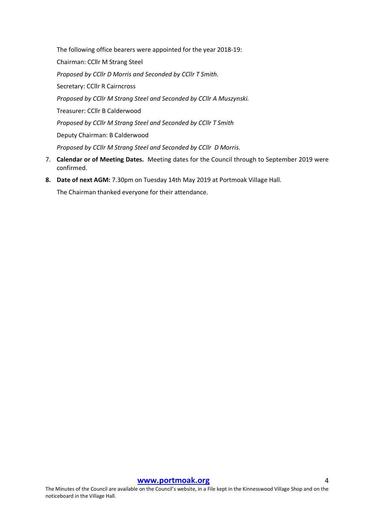The following office bearers were appointed for the year 2018-19: Chairman: CCllr M Strang Steel *Proposed by CCllr D Morris and Seconded by CCllr T Smith.*  Secretary: CCllr R Cairncross *Proposed by CCllr M Strang Steel and Seconded by CCllr A Muszynski.* Treasurer: CCllr B Calderwood *Proposed by CCllr M Strang Steel and Seconded by CCllr T Smith* Deputy Chairman: B Calderwood *Proposed by CCllr M Strang Steel and Seconded by CCllr D Morris.*

- 7. **Calendar or of Meeting Dates.** Meeting dates for the Council through to September 2019 were confirmed.
- **8. Date of next AGM:** 7.30pm on Tuesday 14th May 2019 at Portmoak Village Hall. The Chairman thanked everyone for their attendance.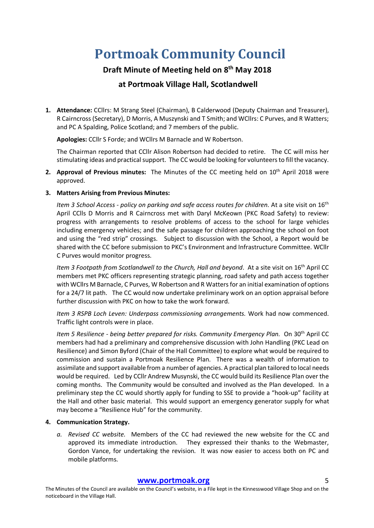# **Portmoak Community Council**

# **Draft Minute of Meeting held on 8th May 2018**

# **at Portmoak Village Hall, Scotlandwell**

**1. Attendance:** CCllrs: M Strang Steel (Chairman), B Calderwood (Deputy Chairman and Treasurer), R Cairncross (Secretary), D Morris, A Muszynski and T Smith; and WCllrs: C Purves, and R Watters; and PC A Spalding, Police Scotland; and 7 members of the public.

**Apologies:** CCllr S Forde; and WCllrs M Barnacle and W Robertson.

The Chairman reported that CCllr Alison Robertson had decided to retire. The CC will miss her stimulating ideas and practical support. The CC would be looking for volunteers to fill the vacancy.

**2. Approval of Previous minutes:** The Minutes of the CC meeting held on 10th April 2018 were approved.

## **3. Matters Arising from Previous Minutes:**

*Item 3 School Access - policy on parking and safe access routes for children.* At a site visit on 16<sup>th</sup> April CClls D Morris and R Cairncross met with Daryl McKeown (PKC Road Safety) to review: progress with arrangements to resolve problems of access to the school for large vehicles including emergency vehicles; and the safe passage for children approaching the school on foot and using the "red strip" crossings. Subject to discussion with the School, a Report would be shared with the CC before submission to PKC's Environment and Infrastructure Committee. WCllr C Purves would monitor progress.

*Item 3 Footpath from Scotlandwell to the Church, Hall and beyond.* At a site visit on 16<sup>th</sup> April CC members met PKC officers representing strategic planning, road safety and path access together with WCllrs M Barnacle, C Purves, W Robertson and R Watters for an initial examination of options for a 24/7 lit path. The CC would now undertake preliminary work on an option appraisal before further discussion with PKC on how to take the work forward.

*Item 3 RSPB Loch Leven: Underpass commissioning arrangements.* Work had now commenced. Traffic light controls were in place.

*Item 5 Resilience - being better prepared for risks. Community Emergency Plan.* On 30th April CC members had had a preliminary and comprehensive discussion with John Handling (PKC Lead on Resilience) and Simon Byford (Chair of the Hall Committee) to explore what would be required to commission and sustain a Portmoak Resilience Plan. There was a wealth of information to assimilate and support available from a number of agencies. A practical plan tailored to local needs would be required. Led by CCllr Andrew Musynski, the CC would build its Resilience Plan over the coming months. The Community would be consulted and involved as the Plan developed. In a preliminary step the CC would shortly apply for funding to SSE to provide a "hook-up" facility at the Hall and other basic material. This would support an emergency generator supply for what may become a "Resilience Hub" for the community.

## **4. Communication Strategy.**

*a. Revised CC website.* Members of the CC had reviewed the new website for the CC and approved its immediate introduction. They expressed their thanks to the Webmaster, Gordon Vance, for undertaking the revision. It was now easier to access both on PC and mobile platforms.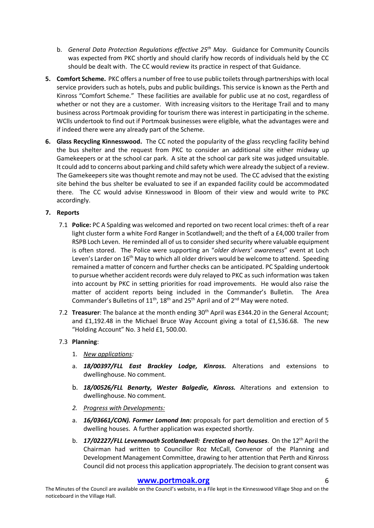- b. *General Data Protection Regulations effective 25th May.* Guidance for Community Councils was expected from PKC shortly and should clarify how records of individuals held by the CC should be dealt with. The CC would review its practice in respect of that Guidance.
- **5. Comfort Scheme.** PKC offers a number of free to use public toilets through partnerships with local service providers such as hotels, pubs and public buildings. This service is known as the Perth and Kinross "Comfort Scheme." These facilities are available for public use at no cost, regardless of whether or not they are a customer. With increasing visitors to the Heritage Trail and to many business across Portmoak providing for tourism there was interest in participating in the scheme. WClls undertook to find out if Portmoak businesses were eligible, what the advantages were and if indeed there were any already part of the Scheme.
- **6. Glass Recycling Kinnesswood.** The CC noted the popularity of the glass recycling facility behind the bus shelter and the request from PKC to consider an additional site either midway up Gamekeepers or at the school car park. A site at the school car park site was judged unsuitable. It could add to concerns about parking and child safety which were already the subject of a review. The Gamekeepers site was thought remote and may not be used. The CC advised that the existing site behind the bus shelter be evaluated to see if an expanded facility could be accommodated there. The CC would advise Kinnesswood in Bloom of their view and would write to PKC accordingly.

## **7. Reports**

- 7.1 **Police:** PC A Spalding was welcomed and reported on two recent local crimes: theft of a rear light cluster form a white Ford Ranger in Scotlandwell; and the theft of a £4,000 trailer from RSPB Loch Leven. He reminded all of us to consider shed security where valuable equipment is often stored. The Police were supporting an "*older drivers' awareness*" event at Loch Leven's Larder on 16<sup>th</sup> May to which all older drivers would be welcome to attend. Speeding remained a matter of concern and further checks can be anticipated. PC Spalding undertook to pursue whether accident records were duly relayed to PKC as such information was taken into account by PKC in setting priorities for road improvements. He would also raise the matter of accident reports being included in the Commander's Bulletin. The Area Commander's Bulletins of  $11^{th}$ ,  $18^{th}$  and  $25^{th}$  April and of  $2^{nd}$  May were noted.
- 7.2 **Treasurer**: The balance at the month ending 30th April was £344.20 in the General Account; and £1,192.48 in the Michael Bruce Way Account giving a total of £1,536.68. The new "Holding Account" No. 3 held £1, 500.00.

## 7.3 **Planning**:

- 1. *New applications:*
- a. *18/00397/FLL East Brackley Lodge, Kinross.* Alterations and extensions to dwellinghouse. No comment.
- b. *18/00526/FLL Benarty, Wester Balgedie, Kinross.* Alterations and extension to dwellinghouse. No comment.
- *2. Progress with Developments:*
- a. *16/03661/CON). Former Lomond Inn:* proposals for part demolition and erection of 5 dwelling houses. A further application was expected shortly.
- b. *17/02227/FLL Levenmouth Scotlandwell: Erection of two houses*. On the 12th April the Chairman had written to Councillor Roz McCall, Convenor of the Planning and Development Management Committee, drawing to her attention that Perth and Kinross Council did not process this application appropriately. The decision to grant consent was